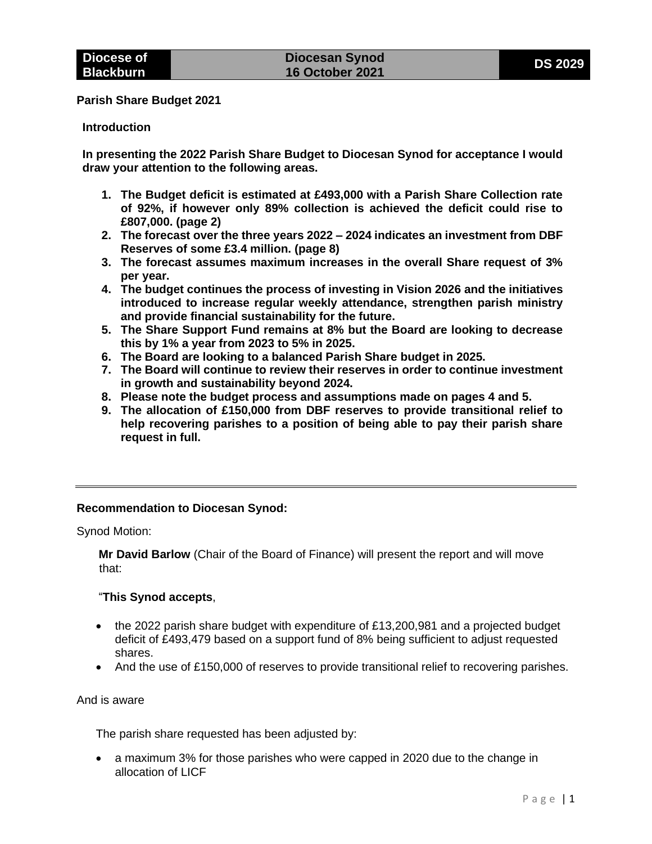**Parish Share Budget 2021**

#### **Introduction**

**In presenting the 2022 Parish Share Budget to Diocesan Synod for acceptance I would draw your attention to the following areas.**

- **1. The Budget deficit is estimated at £493,000 with a Parish Share Collection rate of 92%, if however only 89% collection is achieved the deficit could rise to £807,000. (page 2)**
- **2. The forecast over the three years 2022 – 2024 indicates an investment from DBF Reserves of some £3.4 million. (page 8)**
- **3. The forecast assumes maximum increases in the overall Share request of 3% per year.**
- **4. The budget continues the process of investing in Vision 2026 and the initiatives introduced to increase regular weekly attendance, strengthen parish ministry and provide financial sustainability for the future.**
- **5. The Share Support Fund remains at 8% but the Board are looking to decrease this by 1% a year from 2023 to 5% in 2025.**
- **6. The Board are looking to a balanced Parish Share budget in 2025.**
- **7. The Board will continue to review their reserves in order to continue investment in growth and sustainability beyond 2024.**
- **8. Please note the budget process and assumptions made on pages 4 and 5.**
- **9. The allocation of £150,000 from DBF reserves to provide transitional relief to help recovering parishes to a position of being able to pay their parish share request in full.**

#### **Recommendation to Diocesan Synod:**

Synod Motion:

**Mr David Barlow** (Chair of the Board of Finance) will present the report and will move that:

### "**This Synod accepts**,

- the 2022 parish share budget with expenditure of  $£13,200,981$  and a projected budget deficit of £493,479 based on a support fund of 8% being sufficient to adjust requested shares.
- And the use of £150,000 of reserves to provide transitional relief to recovering parishes.

#### And is aware

The parish share requested has been adjusted by:

• a maximum 3% for those parishes who were capped in 2020 due to the change in allocation of LICF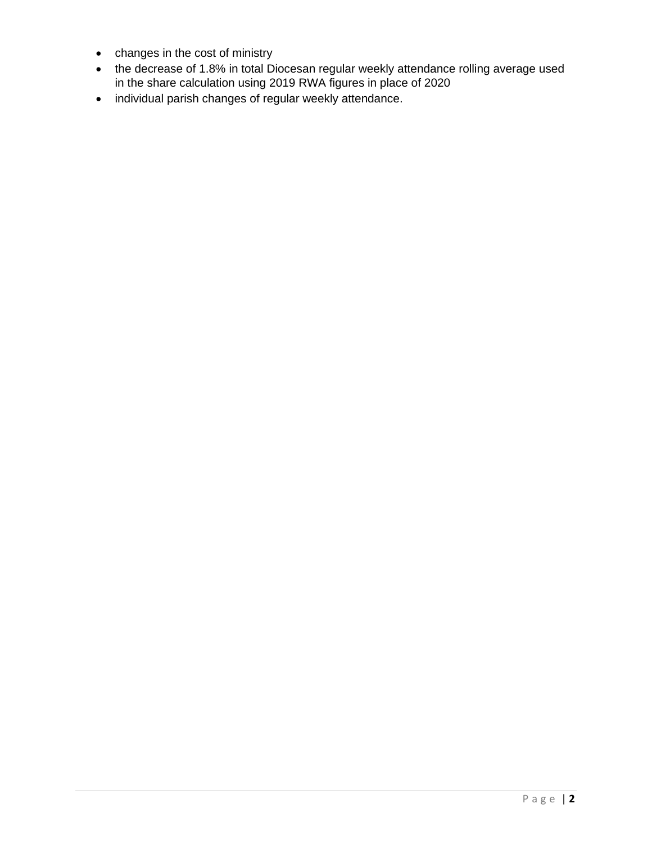- changes in the cost of ministry
- the decrease of 1.8% in total Diocesan regular weekly attendance rolling average used in the share calculation using 2019 RWA figures in place of 2020
- individual parish changes of regular weekly attendance.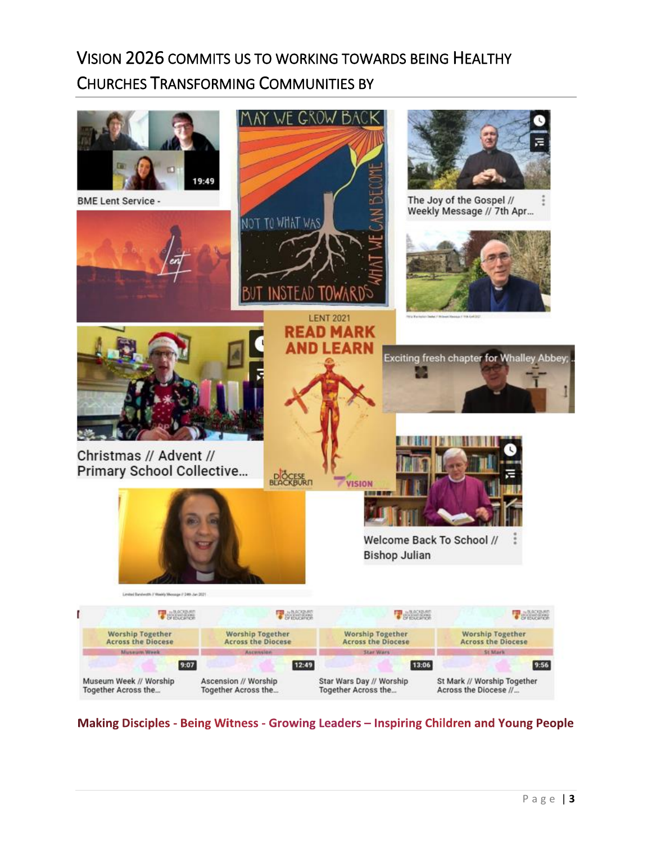# VISION 2026 COMMITS US TO WORKING TOWARDS BEING HEALTHY CHURCHES TRANSFORMING COMMUNITIES BY



Making Disciples - Being Witness - Growing Leaders - Inspiring Children and Young People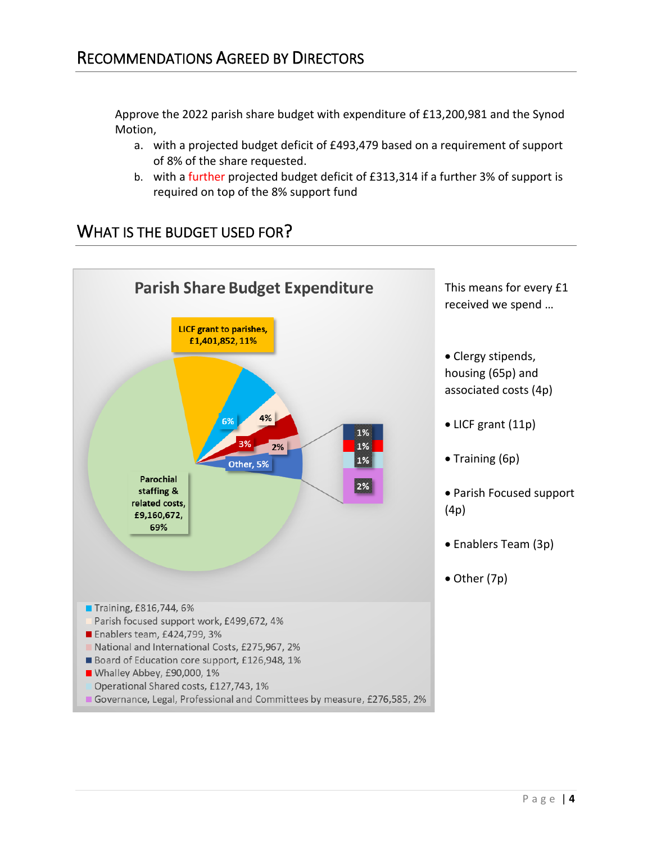Approve the 2022 parish share budget with expenditure of £13,200,981 and the Synod Motion,

- a. with a projected budget deficit of £493,479 based on a requirement of support of 8% of the share requested.
- b. with a further projected budget deficit of £313,314 if a further 3% of support is required on top of the 8% support fund

### WHAT IS THE BUDGET USED FOR?

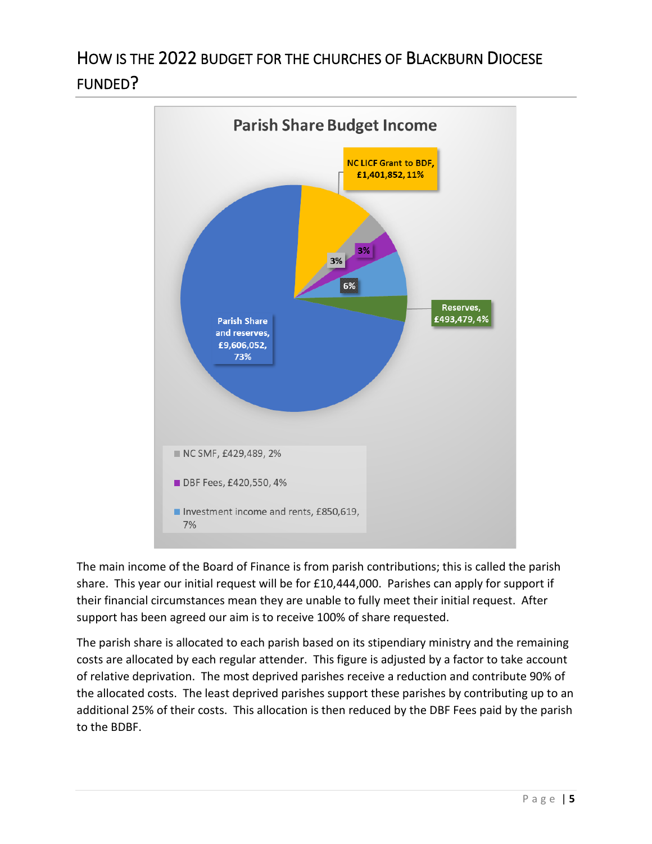# HOW IS THE 2022 BUDGET FOR THE CHURCHES OF BLACKBURN DIOCESE FUNDED?



The main income of the Board of Finance is from parish contributions; this is called the parish share. This year our initial request will be for £10,444,000. Parishes can apply for support if their financial circumstances mean they are unable to fully meet their initial request. After support has been agreed our aim is to receive 100% of share requested.

The parish share is allocated to each parish based on its stipendiary ministry and the remaining costs are allocated by each regular attender. This figure is adjusted by a factor to take account of relative deprivation. The most deprived parishes receive a reduction and contribute 90% of the allocated costs. The least deprived parishes support these parishes by contributing up to an additional 25% of their costs. This allocation is then reduced by the DBF Fees paid by the parish to the BDBF.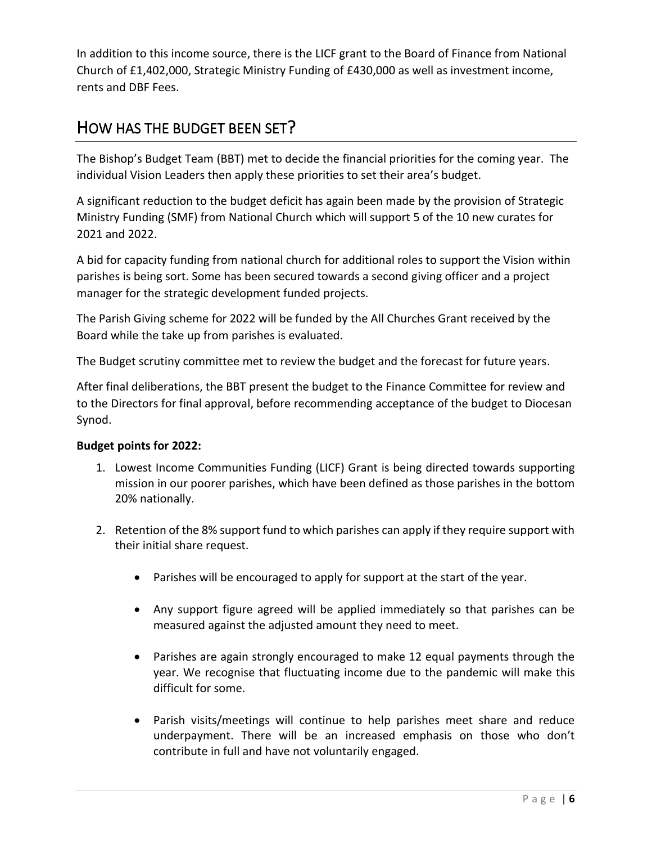In addition to this income source, there is the LICF grant to the Board of Finance from National Church of £1,402,000, Strategic Ministry Funding of £430,000 as well as investment income, rents and DBF Fees.

### HOW HAS THE BUDGET BEEN SET?

The Bishop's Budget Team (BBT) met to decide the financial priorities for the coming year. The individual Vision Leaders then apply these priorities to set their area's budget.

A significant reduction to the budget deficit has again been made by the provision of Strategic Ministry Funding (SMF) from National Church which will support 5 of the 10 new curates for 2021 and 2022.

A bid for capacity funding from national church for additional roles to support the Vision within parishes is being sort. Some has been secured towards a second giving officer and a project manager for the strategic development funded projects.

The Parish Giving scheme for 2022 will be funded by the All Churches Grant received by the Board while the take up from parishes is evaluated.

The Budget scrutiny committee met to review the budget and the forecast for future years.

After final deliberations, the BBT present the budget to the Finance Committee for review and to the Directors for final approval, before recommending acceptance of the budget to Diocesan Synod.

### **Budget points for 2022:**

- 1. Lowest Income Communities Funding (LICF) Grant is being directed towards supporting mission in our poorer parishes, which have been defined as those parishes in the bottom 20% nationally.
- 2. Retention of the 8% support fund to which parishes can apply if they require support with their initial share request.
	- Parishes will be encouraged to apply for support at the start of the year.
	- Any support figure agreed will be applied immediately so that parishes can be measured against the adjusted amount they need to meet.
	- Parishes are again strongly encouraged to make 12 equal payments through the year. We recognise that fluctuating income due to the pandemic will make this difficult for some.
	- Parish visits/meetings will continue to help parishes meet share and reduce underpayment. There will be an increased emphasis on those who don't contribute in full and have not voluntarily engaged.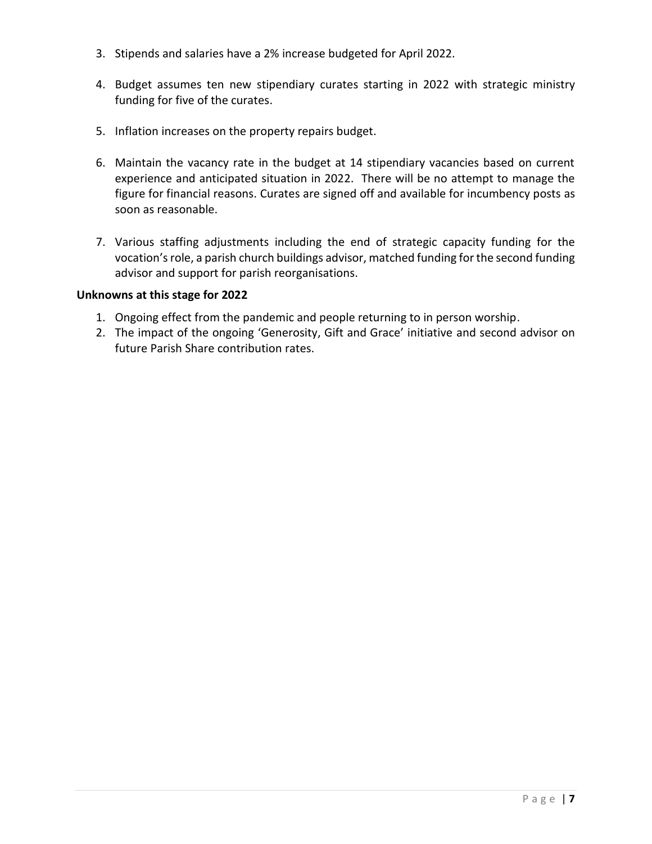- 3. Stipends and salaries have a 2% increase budgeted for April 2022.
- 4. Budget assumes ten new stipendiary curates starting in 2022 with strategic ministry funding for five of the curates.
- 5. Inflation increases on the property repairs budget.
- 6. Maintain the vacancy rate in the budget at 14 stipendiary vacancies based on current experience and anticipated situation in 2022. There will be no attempt to manage the figure for financial reasons. Curates are signed off and available for incumbency posts as soon as reasonable.
- 7. Various staffing adjustments including the end of strategic capacity funding for the vocation's role, a parish church buildings advisor, matched funding for the second funding advisor and support for parish reorganisations.

### **Unknowns at this stage for 2022**

- 1. Ongoing effect from the pandemic and people returning to in person worship.
- 2. The impact of the ongoing 'Generosity, Gift and Grace' initiative and second advisor on future Parish Share contribution rates.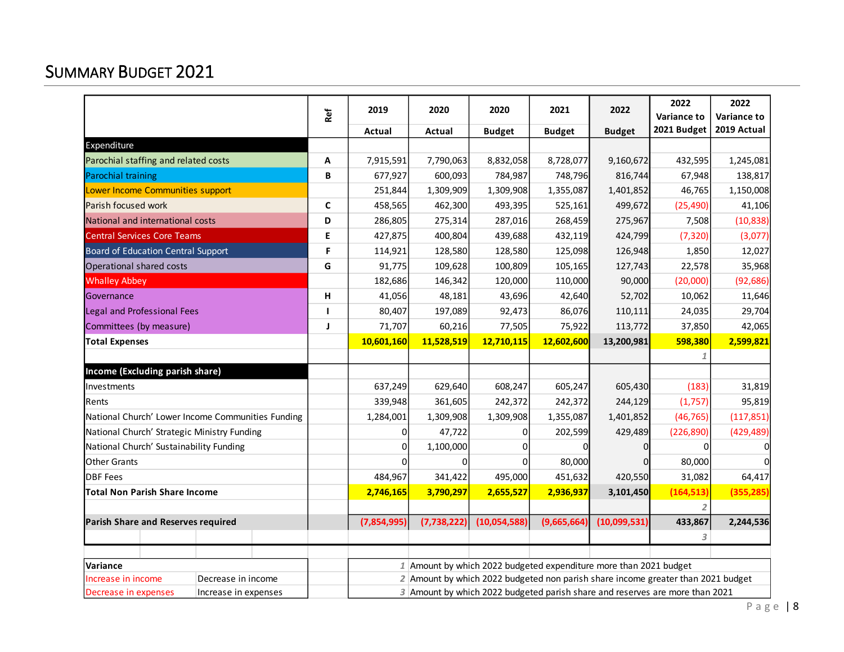## SUMMARY BUDGET 2021

|                                                                               | Ref          | 2019                                                                         | 2020                                                                             | 2020          | 2021          | 2022          | 2022<br><b>Variance to</b> | 2022<br><b>Variance to</b> |  |
|-------------------------------------------------------------------------------|--------------|------------------------------------------------------------------------------|----------------------------------------------------------------------------------|---------------|---------------|---------------|----------------------------|----------------------------|--|
|                                                                               |              | Actual                                                                       | <b>Actual</b>                                                                    | <b>Budget</b> | <b>Budget</b> | <b>Budget</b> | 2021 Budget                | 2019 Actual                |  |
| Expenditure                                                                   |              |                                                                              |                                                                                  |               |               |               |                            |                            |  |
| Parochial staffing and related costs                                          | Α            | 7,915,591                                                                    | 7,790,063                                                                        | 8,832,058     | 8,728,077     | 9,160,672     | 432,595                    | 1,245,081                  |  |
| Parochial training                                                            | B            | 677,927                                                                      | 600,093                                                                          | 784,987       | 748,796       | 816,744       | 67,948                     | 138,817                    |  |
| Lower Income Communities support                                              |              | 251,844                                                                      | 1,309,909                                                                        | 1,309,908     | 1,355,087     | 1,401,852     | 46,765                     | 1,150,008                  |  |
| Parish focused work                                                           | $\mathsf{C}$ | 458,565                                                                      | 462,300                                                                          | 493,395       | 525,161       | 499,672       | (25, 490)                  | 41,106                     |  |
| National and international costs                                              | D            | 286,805                                                                      | 275,314                                                                          | 287,016       | 268,459       | 275,967       | 7,508                      | (10, 838)                  |  |
| <b>Central Services Core Teams</b>                                            | Е            | 427,875                                                                      | 400,804                                                                          | 439,688       | 432,119       | 424,799       | (7, 320)                   | (3,077)                    |  |
| Board of Education Central Support                                            | F            | 114,921                                                                      | 128,580                                                                          | 128,580       | 125,098       | 126,948       | 1,850                      | 12,027                     |  |
| Operational shared costs                                                      | G            | 91,775                                                                       | 109,628                                                                          | 100,809       | 105,165       | 127,743       | 22,578                     | 35,968                     |  |
| <b>Whalley Abbey</b>                                                          |              | 182,686                                                                      | 146,342                                                                          | 120,000       | 110,000       | 90,000        | (20,000)                   | (92, 686)                  |  |
| Governance                                                                    | н            | 41,056                                                                       | 48,181                                                                           | 43,696        | 42,640        | 52,702        | 10,062                     | 11,646                     |  |
| Legal and Professional Fees                                                   | ı            | 80,407                                                                       | 197,089                                                                          | 92,473        | 86,076        | 110,111       | 24,035                     | 29,704                     |  |
| Committees (by measure)                                                       | J            | 71,707                                                                       | 60,216                                                                           | 77,505        | 75,922        | 113,772       | 37,850                     | 42,065                     |  |
| <b>Total Expenses</b>                                                         |              | 10,601,160                                                                   | 11,528,519                                                                       | 12,710,115    | 12,602,600    | 13,200,981    | 598,380                    | 2,599,821                  |  |
|                                                                               |              |                                                                              |                                                                                  |               |               |               |                            |                            |  |
| Income (Excluding parish share)                                               |              |                                                                              |                                                                                  |               |               |               |                            |                            |  |
| Investments                                                                   |              | 637,249                                                                      | 629,640                                                                          | 608,247       | 605,247       | 605,430       | (183)                      | 31,819                     |  |
| Rents                                                                         |              | 339,948                                                                      | 361,605                                                                          | 242,372       | 242,372       | 244,129       | (1,757)                    | 95,819                     |  |
| National Church' Lower Income Communities Funding                             |              | 1,284,001                                                                    | 1,309,908                                                                        | 1,309,908     | 1,355,087     | 1,401,852     | (46, 765)                  | (117, 851)                 |  |
| National Church' Strategic Ministry Funding                                   |              | 0                                                                            | 47,722                                                                           | 0             | 202,599       | 429,489       | (226, 890)                 | (429, 489)                 |  |
| National Church' Sustainability Funding                                       |              | $\Omega$                                                                     | 1,100,000                                                                        | $\Omega$      |               | <sup>0</sup>  | ŋ                          |                            |  |
| <b>Other Grants</b>                                                           |              | $\Omega$                                                                     | $\Omega$                                                                         | $\Omega$      | 80,000        |               | 80,000                     |                            |  |
| <b>DBF</b> Fees                                                               |              | 484,967                                                                      | 341,422                                                                          | 495,000       | 451,632       | 420,550       | 31,082                     | 64,417                     |  |
| <b>Total Non Parish Share Income</b>                                          |              | 2,746,165                                                                    | 3,790,297                                                                        | 2,655,527     | 2,936,937     | 3,101,450     | (164, 513)                 | (355, 285)                 |  |
|                                                                               |              |                                                                              |                                                                                  |               |               |               |                            |                            |  |
| Parish Share and Reserves required                                            |              | (7,854,995)                                                                  | (7,738,222)                                                                      | (10,054,588)  | (9,665,664)   | (10,099,531)  | 433,867                    | 2,244,536                  |  |
|                                                                               |              |                                                                              |                                                                                  |               |               |               | 3                          |                            |  |
|                                                                               |              |                                                                              |                                                                                  |               |               |               |                            |                            |  |
| 1 Amount by which 2022 budgeted expenditure more than 2021 budget<br>Variance |              |                                                                              |                                                                                  |               |               |               |                            |                            |  |
| Increase in income<br>Decrease in income                                      |              |                                                                              | 2 Amount by which 2022 budgeted non parish share income greater than 2021 budget |               |               |               |                            |                            |  |
| Decrease in expenses<br>Increase in expenses                                  |              | 3 Amount by which 2022 budgeted parish share and reserves are more than 2021 |                                                                                  |               |               |               |                            |                            |  |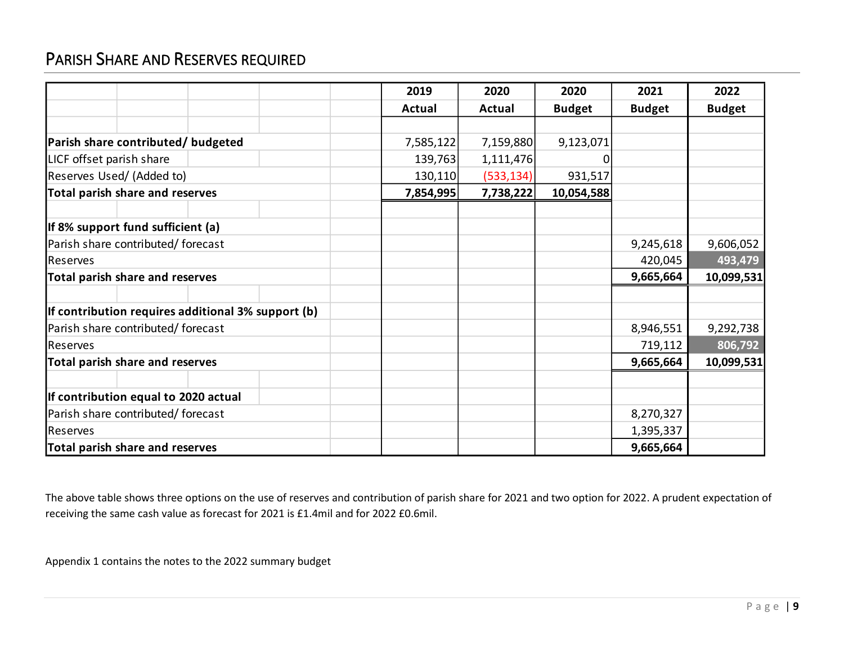## PARISH SHARE AND RESERVES REQUIRED

|                                                    | 2019          | 2020          | 2020          | 2021          | 2022          |
|----------------------------------------------------|---------------|---------------|---------------|---------------|---------------|
|                                                    | <b>Actual</b> | <b>Actual</b> | <b>Budget</b> | <b>Budget</b> | <b>Budget</b> |
|                                                    |               |               |               |               |               |
| Parish share contributed/ budgeted                 | 7,585,122     | 7,159,880     | 9,123,071     |               |               |
| LICF offset parish share                           | 139,763       | 1,111,476     | 0             |               |               |
| Reserves Used/ (Added to)                          | 130,110       | (533, 134)    | 931,517       |               |               |
| <b>Total parish share and reserves</b>             | 7,854,995     | 7,738,222     | 10,054,588    |               |               |
|                                                    |               |               |               |               |               |
| If 8% support fund sufficient (a)                  |               |               |               |               |               |
| Parish share contributed/ forecast                 |               |               |               | 9,245,618     | 9,606,052     |
| <b>I</b> Reserves                                  |               |               |               | 420,045       | 493,479       |
| Total parish share and reserves                    |               |               |               | 9,665,664     | 10,099,531    |
|                                                    |               |               |               |               |               |
| If contribution requires additional 3% support (b) |               |               |               |               |               |
| Parish share contributed/ forecast                 |               |               |               | 8,946,551     | 9,292,738     |
| <b>Reserves</b>                                    |               |               |               | 719,112       | 806,792       |
| Total parish share and reserves                    |               |               |               | 9,665,664     | 10,099,531    |
|                                                    |               |               |               |               |               |
| If contribution equal to 2020 actual               |               |               |               |               |               |
| Parish share contributed/ forecast                 |               |               |               | 8,270,327     |               |
| Reserves                                           |               |               |               | 1,395,337     |               |
| Total parish share and reserves                    |               |               |               | 9,665,664     |               |

The above table shows three options on the use of reserves and contribution of parish share for 2021 and two option for 2022. A prudent expectation of receiving the same cash value as forecast for 2021 is £1.4mil and for 2022 £0.6mil.

Appendix 1 contains the notes to the 2022 summary budget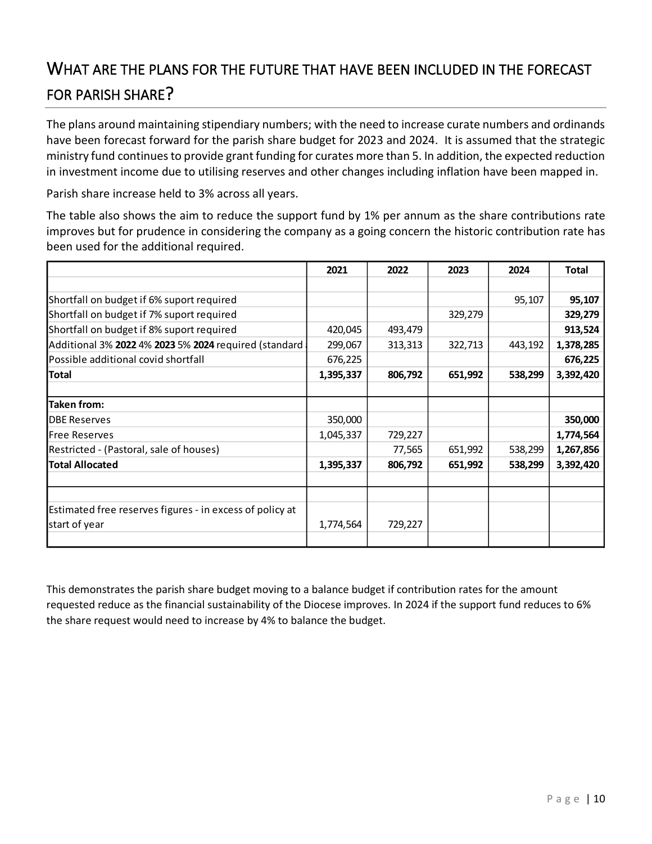## WHAT ARE THE PLANS FOR THE FUTURE THAT HAVE BEEN INCLUDED IN THE FORECAST FOR PARISH SHARE?

The plans around maintaining stipendiary numbers; with the need to increase curate numbers and ordinands have been forecast forward for the parish share budget for 2023 and 2024. It is assumed that the strategic ministry fund continues to provide grant funding for curates more than 5. In addition, the expected reduction in investment income due to utilising reserves and other changes including inflation have been mapped in.

Parish share increase held to 3% across all years.

The table also shows the aim to reduce the support fund by 1% per annum as the share contributions rate improves but for prudence in considering the company as a going concern the historic contribution rate has been used for the additional required.

|                                                          | 2021      | 2022    | 2023    | 2024    | Total     |
|----------------------------------------------------------|-----------|---------|---------|---------|-----------|
|                                                          |           |         |         |         |           |
| Shortfall on budget if 6% suport required                |           |         |         | 95,107  | 95,107    |
| Shortfall on budget if 7% suport required                |           |         | 329,279 |         | 329,279   |
| Shortfall on budget if 8% suport required                | 420,045   | 493,479 |         |         | 913,524   |
| Additional 3% 2022 4% 2023 5% 2024 required (standard    | 299,067   | 313,313 | 322,713 | 443,192 | 1,378,285 |
| Possible additional covid shortfall                      | 676,225   |         |         |         | 676,225   |
| Total                                                    | 1,395,337 | 806,792 | 651,992 | 538,299 | 3,392,420 |
|                                                          |           |         |         |         |           |
| <b>Taken from:</b>                                       |           |         |         |         |           |
| <b>DBE Reserves</b>                                      | 350,000   |         |         |         | 350,000   |
| Free Reserves                                            | 1,045,337 | 729,227 |         |         | 1,774,564 |
| Restricted - (Pastoral, sale of houses)                  |           | 77,565  | 651,992 | 538,299 | 1,267,856 |
| <b>Total Allocated</b>                                   | 1,395,337 | 806,792 | 651,992 | 538,299 | 3,392,420 |
|                                                          |           |         |         |         |           |
|                                                          |           |         |         |         |           |
| Estimated free reserves figures - in excess of policy at |           |         |         |         |           |
| start of year                                            | 1,774,564 | 729,227 |         |         |           |
|                                                          |           |         |         |         |           |

This demonstrates the parish share budget moving to a balance budget if contribution rates for the amount requested reduce as the financial sustainability of the Diocese improves. In 2024 if the support fund reduces to 6% the share request would need to increase by 4% to balance the budget.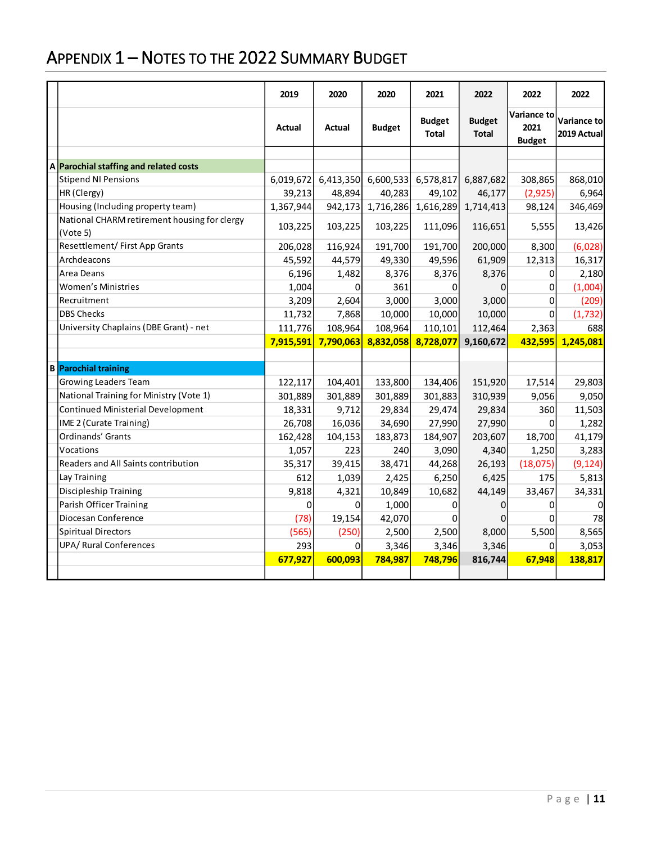# APPENDIX 1 – NOTES TO THE 2022 SUMMARY BUDGET

|                                                          | 2019      | 2020      | 2020          | 2021                   | 2022                          | 2022                                 | 2022                        |
|----------------------------------------------------------|-----------|-----------|---------------|------------------------|-------------------------------|--------------------------------------|-----------------------------|
|                                                          | Actual    | Actual    | <b>Budget</b> | <b>Budget</b><br>Total | <b>Budget</b><br><b>Total</b> | Variance to<br>2021<br><b>Budget</b> | Variance tol<br>2019 Actual |
|                                                          |           |           |               |                        |                               |                                      |                             |
| A Parochial staffing and related costs                   |           |           |               |                        |                               |                                      |                             |
| <b>Stipend NI Pensions</b>                               | 6,019,672 | 6,413,350 |               | 6,600,533 6,578,817    | 6,887,682                     | 308,865                              | 868,010                     |
| HR (Clergy)                                              | 39,213    | 48,894    | 40,283        | 49,102                 | 46,177                        | (2, 925)                             | 6,964                       |
| Housing (Including property team)                        | 1,367,944 | 942,173   | 1,716,286     | 1,616,289              | 1,714,413                     | 98,124                               | 346,469                     |
| National CHARM retirement housing for clergy<br>(Vote 5) | 103,225   | 103,225   | 103,225       | 111,096                | 116,651                       | 5,555                                | 13,426                      |
| Resettlement/First App Grants                            | 206,028   | 116,924   | 191,700       | 191,700                | 200,000                       | 8,300                                | (6,028)                     |
| Archdeacons                                              | 45,592    | 44,579    | 49,330        | 49,596                 | 61,909                        | 12,313                               | 16,317                      |
| Area Deans                                               | 6,196     | 1,482     | 8,376         | 8,376                  | 8,376                         | 0                                    | 2,180                       |
| <b>Women's Ministries</b>                                | 1,004     | $\Omega$  | 361           | 0                      | 0                             | 0                                    | (1,004)                     |
| Recruitment                                              | 3,209     | 2,604     | 3,000         | 3,000                  | 3,000                         | 0                                    | (209)                       |
| <b>DBS Checks</b>                                        | 11,732    | 7,868     | 10,000        | 10,000                 | 10,000                        | $\Omega$                             | (1, 732)                    |
| University Chaplains (DBE Grant) - net                   | 111,776   | 108,964   | 108,964       | 110,101                | 112,464                       | 2,363                                | 688                         |
|                                                          | 7,915,591 | 7,790,063 | 8,832,058     | 8,728,077              | 9,160,672                     | 432,595                              | 1,245,081                   |
|                                                          |           |           |               |                        |                               |                                      |                             |
| <b>B</b> Parochial training                              |           |           |               |                        |                               |                                      |                             |
| <b>Growing Leaders Team</b>                              | 122,117   | 104,401   | 133,800       | 134,406                | 151,920                       | 17,514                               | 29,803                      |
| National Training for Ministry (Vote 1)                  | 301,889   | 301,889   | 301,889       | 301,883                | 310,939                       | 9,056                                | 9,050                       |
| <b>Continued Ministerial Development</b>                 | 18,331    | 9,712     | 29,834        | 29,474                 | 29,834                        | 360                                  | 11,503                      |
| IME 2 (Curate Training)                                  | 26,708    | 16,036    | 34,690        | 27,990                 | 27,990                        | 0                                    | 1,282                       |
| Ordinands' Grants                                        | 162,428   | 104,153   | 183,873       | 184,907                | 203,607                       | 18,700                               | 41,179                      |
| Vocations                                                | 1,057     | 223       | 240           | 3,090                  | 4,340                         | 1,250                                | 3,283                       |
| Readers and All Saints contribution                      | 35,317    | 39,415    | 38,471        | 44,268                 | 26,193                        | (18,075)                             | (9, 124)                    |
| Lay Training                                             | 612       | 1,039     | 2,425         | 6,250                  | 6,425                         | 175                                  | 5,813                       |
| Discipleship Training                                    | 9,818     | 4,321     | 10,849        | 10,682                 | 44,149                        | 33,467                               | 34,331                      |
| Parish Officer Training                                  | 0         | $\Omega$  | 1,000         | 0                      | 0                             | 0                                    | 0                           |
| Diocesan Conference                                      | (78)      | 19,154    | 42,070        | 0                      | 0                             | $\Omega$                             | 78                          |
| <b>Spiritual Directors</b>                               | (565)     | (250)     | 2,500         | 2,500                  | 8,000                         | 5,500                                | 8,565                       |
| <b>UPA/ Rural Conferences</b>                            | 293       | $\Omega$  | 3,346         | 3,346                  | 3,346                         | 0                                    | 3,053                       |
|                                                          | 677,927   | 600,093   | 784,987       | 748,796                | 816,744                       | 67,948                               | 138,817                     |
|                                                          |           |           |               |                        |                               |                                      |                             |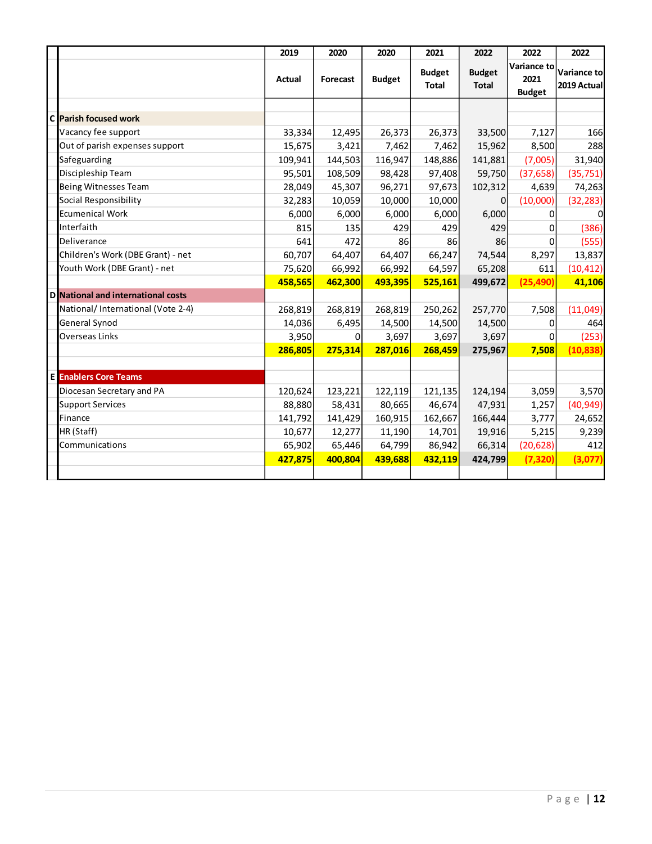|                                    | 2019    | 2020     | 2020          | 2021                          | 2022                          | 2022                                 | 2022                       |
|------------------------------------|---------|----------|---------------|-------------------------------|-------------------------------|--------------------------------------|----------------------------|
|                                    | Actual  | Forecast | <b>Budget</b> | <b>Budget</b><br><b>Total</b> | <b>Budget</b><br><b>Total</b> | Variance to<br>2021<br><b>Budget</b> | Variance to<br>2019 Actual |
|                                    |         |          |               |                               |                               |                                      |                            |
| C Parish focused work              |         |          |               |                               |                               |                                      |                            |
| Vacancy fee support                | 33,334  | 12,495   | 26,373        | 26,373                        | 33,500                        | 7,127                                | 166                        |
| Out of parish expenses support     | 15,675  | 3,421    | 7,462         | 7,462                         | 15,962                        | 8,500                                | 288                        |
| Safeguarding                       | 109,941 | 144,503  | 116,947       | 148,886                       | 141,881                       | (7,005)                              | 31,940                     |
| Discipleship Team                  | 95,501  | 108,509  | 98,428        | 97,408                        | 59,750                        | (37, 658)                            | (35, 751)                  |
| Being Witnesses Team               | 28,049  | 45,307   | 96,271        | 97,673                        | 102,312                       | 4,639                                | 74,263                     |
| Social Responsibility              | 32,283  | 10,059   | 10,000        | 10,000                        | 0                             | (10,000)                             | (32, 283)                  |
| Ecumenical Work                    | 6,000   | 6,000    | 6,000         | 6,000                         | 6,000                         | 0                                    |                            |
| Interfaith                         | 815     | 135      | 429           | 429                           | 429                           | 0                                    | (386)                      |
| Deliverance                        | 641     | 472      | 86            | 86                            | 86                            | 0                                    | (555)                      |
| Children's Work (DBE Grant) - net  | 60,707  | 64,407   | 64,407        | 66,247                        | 74,544                        | 8,297                                | 13,837                     |
| Youth Work (DBE Grant) - net       | 75,620  | 66,992   | 66,992        | 64,597                        | 65,208                        | 611                                  | (10, 412)                  |
|                                    | 458,565 | 462,300  | 493,395       | 525,161                       | 499,672                       | (25, 490)                            | 41,106                     |
| D National and international costs |         |          |               |                               |                               |                                      |                            |
| National/International (Vote 2-4)  | 268,819 | 268,819  | 268,819       | 250,262                       | 257,770                       | 7,508                                | (11,049)                   |
| General Synod                      | 14,036  | 6,495    | 14,500        | 14,500                        | 14,500                        | 0                                    | 464                        |
| Overseas Links                     | 3,950   | 0        | 3,697         | 3,697                         | 3,697                         | $\Omega$                             | (253)                      |
|                                    | 286,805 | 275,314  | 287,016       | 268,459                       | 275,967                       | 7,508                                | (10, 838)                  |
|                                    |         |          |               |                               |                               |                                      |                            |
| <b>E</b> Enablers Core Teams       |         |          |               |                               |                               |                                      |                            |
| Diocesan Secretary and PA          | 120,624 | 123,221  | 122,119       | 121,135                       | 124,194                       | 3,059                                | 3,570                      |
| <b>Support Services</b>            | 88,880  | 58,431   | 80,665        | 46,674                        | 47,931                        | 1,257                                | (40, 949)                  |
| Finance                            | 141,792 | 141,429  | 160,915       | 162,667                       | 166,444                       | 3,777                                | 24,652                     |
| HR (Staff)                         | 10,677  | 12,277   | 11,190        | 14,701                        | 19,916                        | 5,215                                | 9,239                      |
| Communications                     | 65,902  | 65,446   | 64,799        | 86,942                        | 66,314                        | (20, 628)                            | 412                        |
|                                    | 427,875 | 400,804  | 439,688       | 432,119                       | 424,799                       | (7, 320)                             | (3,077)                    |
|                                    |         |          |               |                               |                               |                                      |                            |